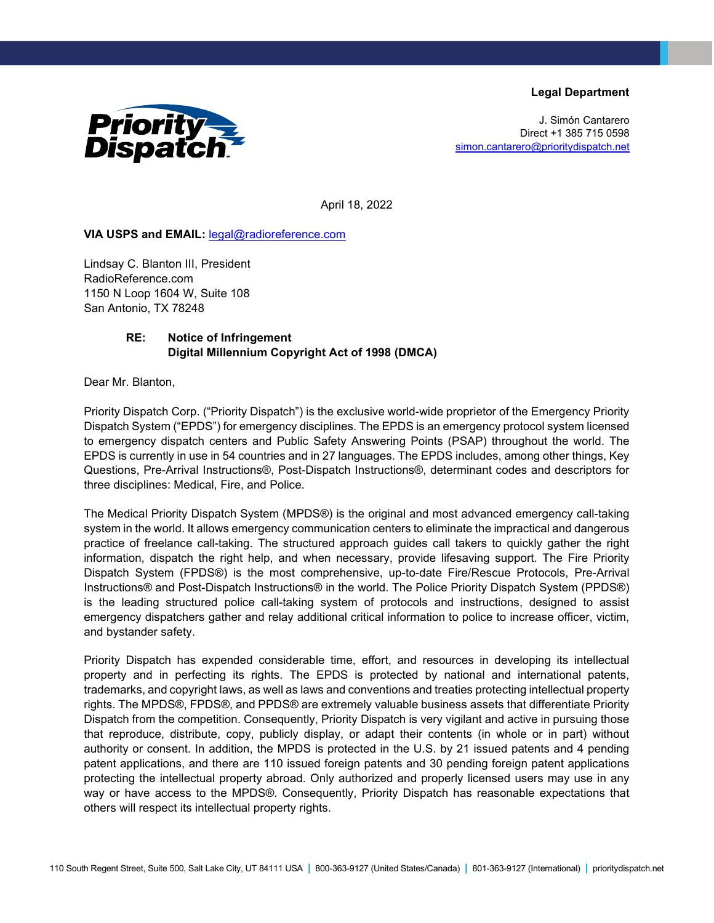**Legal Department**



J. Simón Cantarero Direct +1 385 715 0598 [simon.cantarero@prioritydispatch.net](mailto:simon.cantarero@prioritydispatch.net)

April 18, 2022

## **VIA USPS and EMAIL:** [legal@radioreference.com](mailto:legal@radioreference.com)

Lindsay C. Blanton III, President RadioReference.com 1150 N Loop 1604 W, Suite 108 San Antonio, TX 78248

## **RE: Notice of Infringement Digital Millennium Copyright Act of 1998 (DMCA)**

Dear Mr. Blanton,

Priority Dispatch Corp. ("Priority Dispatch") is the exclusive world-wide proprietor of the Emergency Priority Dispatch System ("EPDS") for emergency disciplines. The EPDS is an emergency protocol system licensed to emergency dispatch centers and Public Safety Answering Points (PSAP) throughout the world. The EPDS is currently in use in 54 countries and in 27 languages. The EPDS includes, among other things, Key Questions, Pre-Arrival Instructions®, Post-Dispatch Instructions®, determinant codes and descriptors for three disciplines: Medical, Fire, and Police.

The Medical Priority Dispatch System (MPDS®) is the original and most advanced emergency call-taking system in the world. It allows emergency communication centers to eliminate the impractical and dangerous practice of freelance call-taking. The structured approach guides call takers to quickly gather the right information, dispatch the right help, and when necessary, provide lifesaving support. The Fire Priority Dispatch System (FPDS®) is the most comprehensive, up-to-date Fire/Rescue Protocols, Pre-Arrival Instructions® and Post-Dispatch Instructions® in the world. The Police Priority Dispatch System (PPDS®) is the leading structured police call-taking system of protocols and instructions, designed to assist emergency dispatchers gather and relay additional critical information to police to increase officer, victim, and bystander safety.

Priority Dispatch has expended considerable time, effort, and resources in developing its intellectual property and in perfecting its rights. The EPDS is protected by national and international patents, trademarks, and copyright laws, as well as laws and conventions and treaties protecting intellectual property rights. The MPDS®, FPDS®, and PPDS® are extremely valuable business assets that differentiate Priority Dispatch from the competition. Consequently, Priority Dispatch is very vigilant and active in pursuing those that reproduce, distribute, copy, publicly display, or adapt their contents (in whole or in part) without authority or consent. In addition, the MPDS is protected in the U.S. by 21 issued patents and 4 pending patent applications, and there are 110 issued foreign patents and 30 pending foreign patent applications protecting the intellectual property abroad. Only authorized and properly licensed users may use in any way or have access to the MPDS®. Consequently, Priority Dispatch has reasonable expectations that others will respect its intellectual property rights.